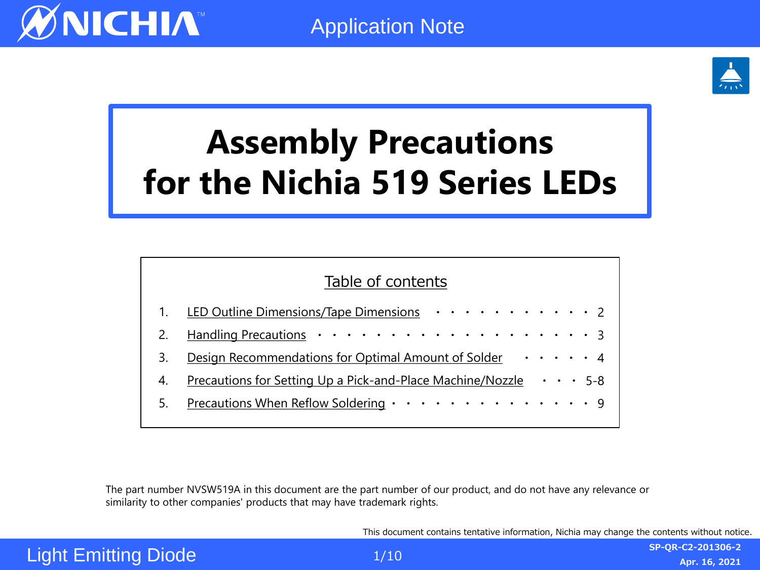

# **Assembly Precautions for the Nichia 519 Series LEDs**

| Table of contents |                                                                                                      |  |  |  |  |
|-------------------|------------------------------------------------------------------------------------------------------|--|--|--|--|
|                   | LED Outline Dimensions/Tape Dimensions 2                                                             |  |  |  |  |
|                   |                                                                                                      |  |  |  |  |
|                   | Design Recommendations for Optimal Amount of Solder ••••• 4                                          |  |  |  |  |
| 4.                | <u>Precautions for Setting Up a Pick-and-Place Machine/Nozzle <math>\cdot \cdot \cdot</math> 5-8</u> |  |  |  |  |
|                   | Precautions When Reflow Soldering 9                                                                  |  |  |  |  |
|                   |                                                                                                      |  |  |  |  |

The part number NVSW519A in this document are the part number of our product, and do not have any relevance or similarity to other companies' products that may have trademark rights.

This document contains tentative information, Nichia may change the contents without notice.

# Light Emitting Diode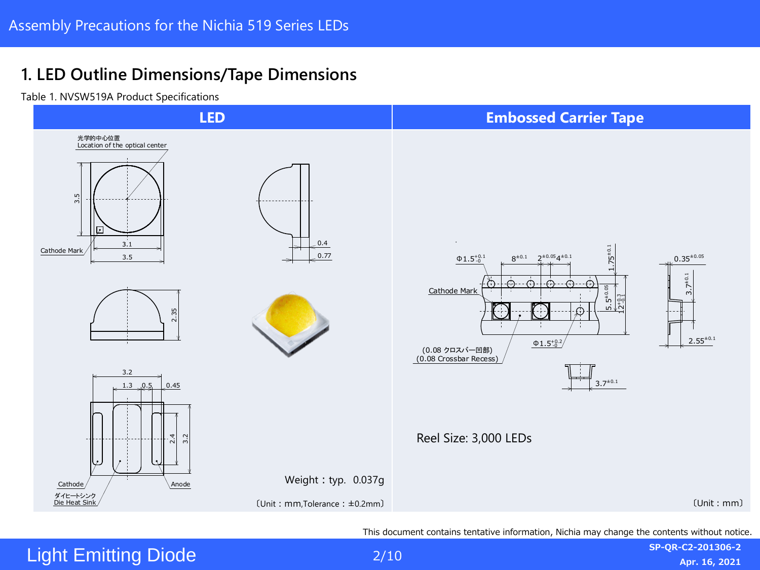### <span id="page-1-0"></span>**1. LED Outline Dimensions/Tape Dimensions**

Table 1. NVSW519A Product Specifications



This document contains tentative information, Nichia may change the contents without notice.

### **Light Emitting Diode**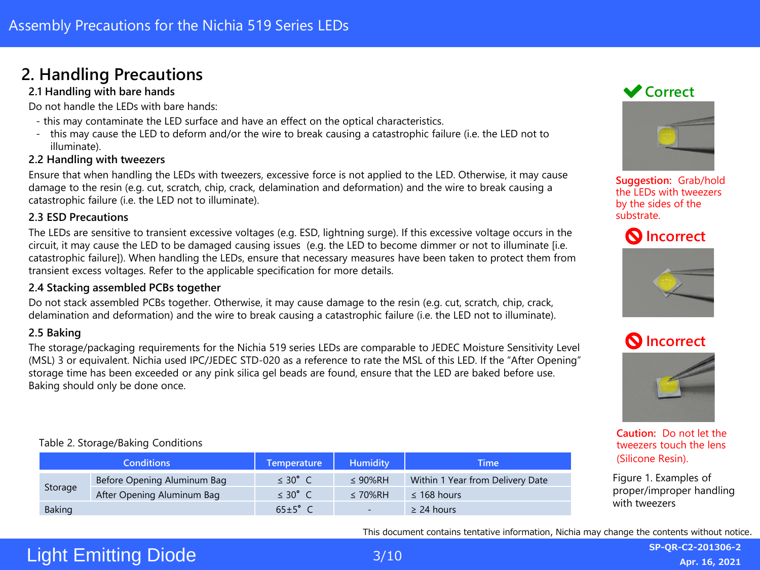### <span id="page-2-0"></span>**2. Handling Precautions**

#### **2.1 Handling with bare hands**

Do not handle the LEDs with bare hands:

- this may contaminate the LED surface and have an effect on the optical characteristics.
- this may cause the LED to deform and/or the wire to break causing a catastrophic failure (i.e. the LED not to illuminate).

#### **2.2 Handling with tweezers**

Ensure that when handling the LEDs with tweezers, excessive force is not applied to the LED. Otherwise, it may cause damage to the resin (e.g. cut, scratch, chip, crack, delamination and deformation) and the wire to break causing a catastrophic failure (i.e. the LED not to illuminate).

#### **2.3 ESD Precautions**

The LEDs are sensitive to transient excessive voltages (e.g. ESD, lightning surge). If this excessive voltage occurs in the circuit, it may cause the LED to be damaged causing issues (e.g. the LED to become dimmer or not to illuminate [i.e. catastrophic failure]). When handling the LEDs, ensure that necessary measures have been taken to protect them from transient excess voltages. Refer to the applicable specification for more details.

#### **2.4 Stacking assembled PCBs together**

Do not stack assembled PCBs together. Otherwise, it may cause damage to the resin (e.g. cut, scratch, chip, crack, delamination and deformation) and the wire to break causing a catastrophic failure (i.e. the LED not to illuminate).

#### **2.5 Baking**

The storage/packaging requirements for the Nichia 519 series LEDs are comparable to JEDEC Moisture Sensitivity Level (MSL) 3 or equivalent. Nichia used IPC/JEDEC STD-020 as a reference to rate the MSL of this LED. If the "After Opening" storage time has been exceeded or any pink silica gel beads are found, ensure that the LED are baked before use. Baking should only be done once.

#### Table 2. Storage/Baking Conditions

| <b>Conditions</b> |                             | <b>Temperature</b>   | <b>Humidity</b>          | Time                             |
|-------------------|-----------------------------|----------------------|--------------------------|----------------------------------|
| Storage           | Before Opening Aluminum Bag | $\leq 30^{\circ}$ C  | $\leq 90\%$ RH           | Within 1 Year from Delivery Date |
|                   | After Opening Aluminum Bag  | $\leq 30^{\circ}$ C  | $\leq 70\%$ RH           | $\leq$ 168 hours                 |
| <b>Baking</b>     |                             | $65 \pm 5^{\circ}$ C | $\overline{\phantom{a}}$ | $\geq$ 24 hours                  |

### **◆ Correct**



**Suggestion:** Grab/hold the LEDs with tweezers by the sides of the substrate.









**Caution:** Do not let the tweezers touch the lens (Silicone Resin).

Figure 1. Examples of proper/improper handling with tweezers

This document contains tentative information, Nichia may change the contents without notice.

# Light Emitting Diode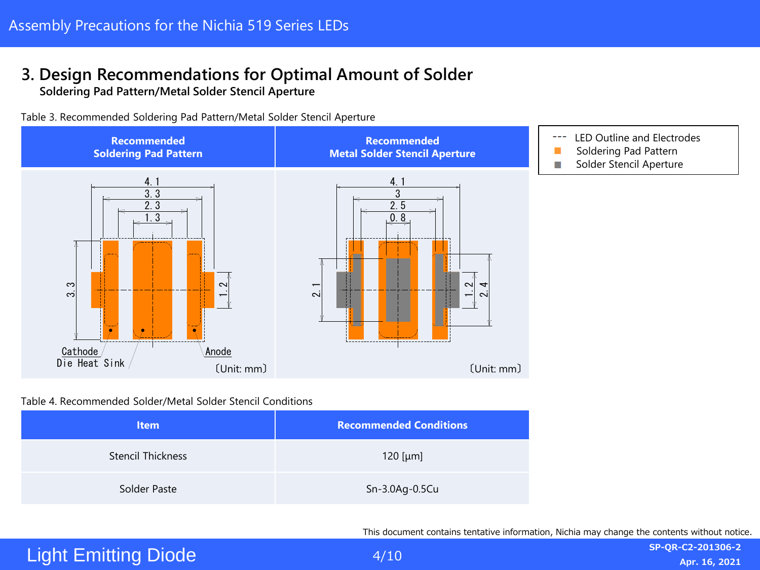# <span id="page-3-0"></span>**3. Design Recommendations for Optimal Amount of Solder**

**Soldering Pad Pattern/Metal Solder Stencil Aperture**

Table 3. Recommended Soldering Pad Pattern/Metal Solder Stencil Aperture



#### Table 4. Recommended Solder/Metal Solder Stencil Conditions

| <b>Item</b>              | <b>Recommended Conditions</b> |
|--------------------------|-------------------------------|
| <b>Stencil Thickness</b> | 120 [ $\mu$ m]                |
| Solder Paste             | Sn-3.0Ag-0.5Cu                |

This document contains tentative information, Nichia may change the contents without notice.

# Light Emitting Diode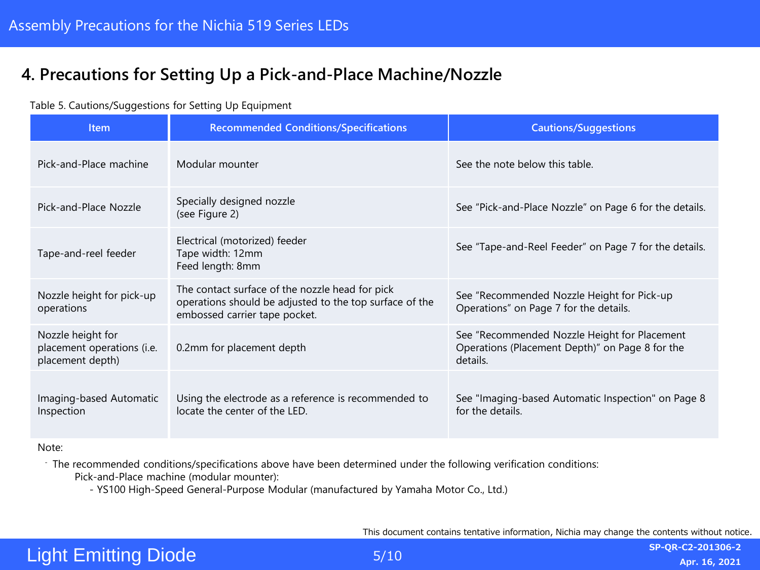### <span id="page-4-0"></span>**4. Precautions for Setting Up a Pick-and-Place Machine/Nozzle**

#### Table 5. Cautions/Suggestions for Setting Up Equipment

| <b>Item</b>                                                         | <b>Recommended Conditions/Specifications</b>                                                                                                | <b>Cautions/Suggestions</b>                                                                                 |
|---------------------------------------------------------------------|---------------------------------------------------------------------------------------------------------------------------------------------|-------------------------------------------------------------------------------------------------------------|
| Pick-and-Place machine                                              | Modular mounter                                                                                                                             | See the note below this table.                                                                              |
| Pick-and-Place Nozzle                                               | Specially designed nozzle<br>(see Figure 2)                                                                                                 | See "Pick-and-Place Nozzle" on Page 6 for the details.                                                      |
| Tape-and-reel feeder                                                | Electrical (motorized) feeder<br>Tape width: 12mm<br>Feed length: 8mm                                                                       | See "Tape-and-Reel Feeder" on Page 7 for the details.                                                       |
| Nozzle height for pick-up<br>operations                             | The contact surface of the nozzle head for pick<br>operations should be adjusted to the top surface of the<br>embossed carrier tape pocket. | See "Recommended Nozzle Height for Pick-up<br>Operations" on Page 7 for the details.                        |
| Nozzle height for<br>placement operations (i.e.<br>placement depth) | 0.2mm for placement depth                                                                                                                   | See "Recommended Nozzle Height for Placement<br>Operations (Placement Depth)" on Page 8 for the<br>details. |
| Imaging-based Automatic<br>Inspection                               | Using the electrode as a reference is recommended to<br>locate the center of the LED.                                                       | See "Imaging-based Automatic Inspection" on Page 8<br>for the details.                                      |

#### Note:

- The recommended conditions/specifications above have been determined under the following verification conditions: Pick-and-Place machine (modular mounter):

- YS100 High-Speed General-Purpose Modular (manufactured by Yamaha Motor Co., Ltd.)

This document contains tentative information, Nichia may change the contents without notice.

# Light Emitting Diode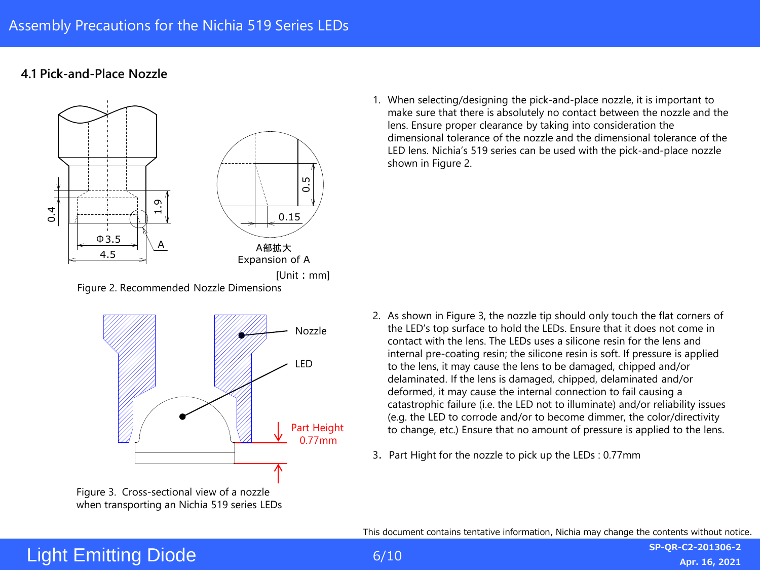### **4.1 Pick-and-Place Nozzle**



Nozzle LED Part Height 0.77mm

Figure 3. Cross-sectional view of a nozzle when transporting an Nichia 519 series LEDs

1. When selecting/designing the pick-and-place nozzle, it is important to make sure that there is absolutely no contact between the nozzle and the lens. Ensure proper clearance by taking into consideration the dimensional tolerance of the nozzle and the dimensional tolerance of the LED lens. Nichia's 519 series can be used with the pick-and-place nozzle shown in Figure 2.

- 2. As shown in Figure 3, the nozzle tip should only touch the flat corners of the LED's top surface to hold the LEDs. Ensure that it does not come in contact with the lens. The LEDs uses a silicone resin for the lens and internal pre-coating resin; the silicone resin is soft. If pressure is applied to the lens, it may cause the lens to be damaged, chipped and/or delaminated. If the lens is damaged, chipped, delaminated and/or deformed, it may cause the internal connection to fail causing a catastrophic failure (i.e. the LED not to illuminate) and/or reliability issues (e.g. the LED to corrode and/or to become dimmer, the color/directivity to change, etc.) Ensure that no amount of pressure is applied to the lens.
- 3. Part Hight for the nozzle to pick up the LEDs : 0.77mm

This document contains tentative information, Nichia may change the contents without notice.

# Light Emitting Diode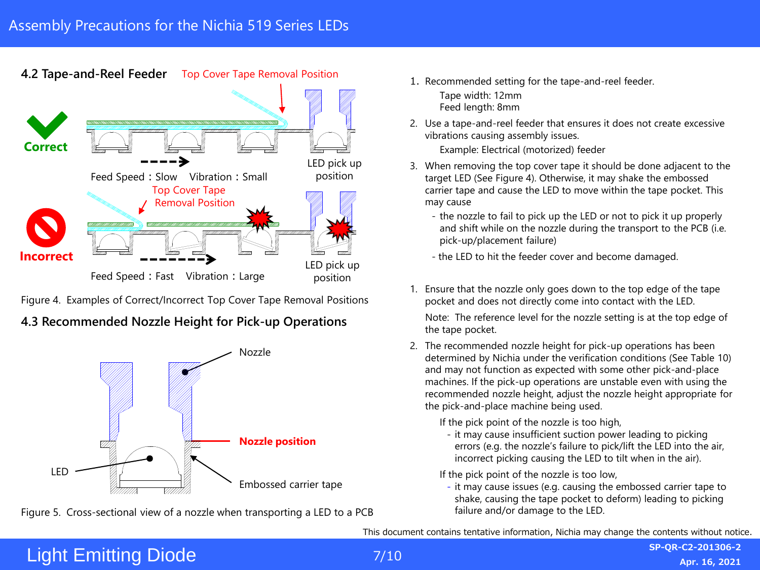**4.2 Tape-and-Reel Feeder** Top Cover Tape Removal Position



Figure 4. Examples of Correct/Incorrect Top Cover Tape Removal Positions

### **4.3 Recommended Nozzle Height for Pick-up Operations**



Figure 5. Cross-sectional view of a nozzle when transporting a LED to a PCB failure and/or damage to the LED.

1. Recommended setting for the tape-and-reel feeder.

Tape width: 12mm Feed length: 8mm

2. Use a tape-and-reel feeder that ensures it does not create excessive vibrations causing assembly issues.

Example: Electrical (motorized) feeder

- 3. When removing the top cover tape it should be done adjacent to the target LED (See Figure 4). Otherwise, it may shake the embossed carrier tape and cause the LED to move within the tape pocket. This may cause
	- the nozzle to fail to pick up the LED or not to pick it up properly and shift while on the nozzle during the transport to the PCB (i.e. pick-up/placement failure)
	- the LED to hit the feeder cover and become damaged.
- 1. Ensure that the nozzle only goes down to the top edge of the tape pocket and does not directly come into contact with the LED.

Note: The reference level for the nozzle setting is at the top edge of the tape pocket.

2. The recommended nozzle height for pick-up operations has been determined by Nichia under the verification conditions (See Table 10) and may not function as expected with some other pick-and-place machines. If the pick-up operations are unstable even with using the recommended nozzle height, adjust the nozzle height appropriate for the pick-and-place machine being used.

If the pick point of the nozzle is too high,

- it may cause insufficient suction power leading to picking errors (e.g. the nozzle's failure to pick/lift the LED into the air, incorrect picking causing the LED to tilt when in the air).

If the pick point of the nozzle is too low,

- it may cause issues (e.g. causing the embossed carrier tape to shake, causing the tape pocket to deform) leading to picking

This document contains tentative information, Nichia may change the contents without notice.

# Light Emitting Diode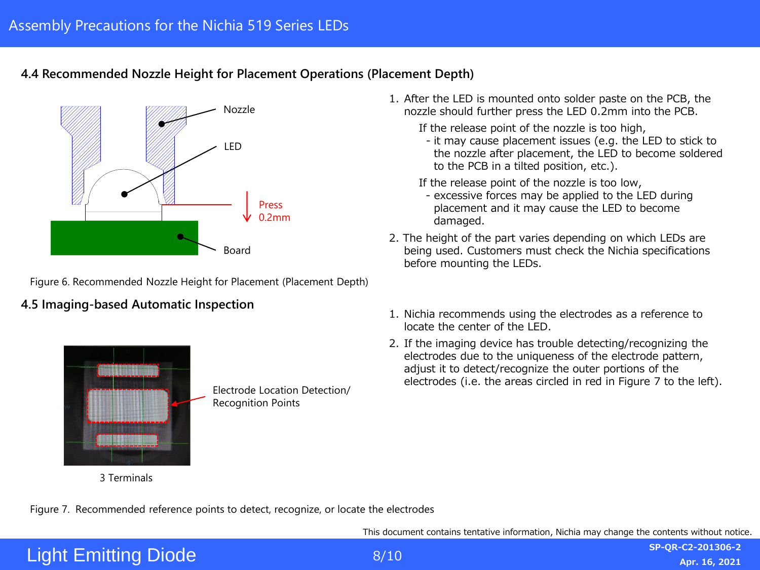### **4.4 Recommended Nozzle Height for Placement Operations (Placement Depth)**



Figure 6. Recommended Nozzle Height for Placement (Placement Depth)

### **4.5 Imaging-based Automatic Inspection**



Electrode Location Detection/ Recognition Points

- 1. After the LED is mounted onto solder paste on the PCB, the nozzle should further press the LED 0.2mm into the PCB.
	- If the release point of the nozzle is too high,
	- it may cause placement issues (e.g. the LED to stick to the nozzle after placement, the LED to become soldered to the PCB in a tilted position, etc.).
	- If the release point of the nozzle is too low,
	- excessive forces may be applied to the LED during placement and it may cause the LED to become damaged.
- 2. The height of the part varies depending on which LEDs are being used. Customers must check the Nichia specifications before mounting the LEDs.
- 1. Nichia recommends using the electrodes as a reference to locate the center of the LED.
- 2. If the imaging device has trouble detecting/recognizing the electrodes due to the uniqueness of the electrode pattern, adjust it to detect/recognize the outer portions of the electrodes (i.e. the areas circled in red in Figure 7 to the left).

Figure 7. Recommended reference points to detect, recognize, or locate the electrodes

This document contains tentative information, Nichia may change the contents without notice.

# Light Emitting Diode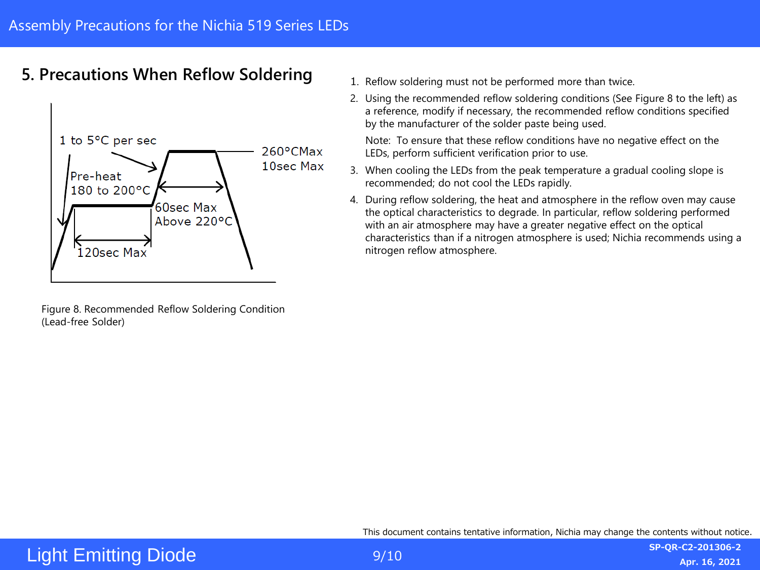### <span id="page-8-0"></span>**5. Precautions When Reflow Soldering**



Figure 8. Recommended Reflow Soldering Condition (Lead-free Solder)

- 1. Reflow soldering must not be performed more than twice.
- 2. Using the recommended reflow soldering conditions (See Figure 8 to the left) as a reference, modify if necessary, the recommended reflow conditions specified by the manufacturer of the solder paste being used.

Note: To ensure that these reflow conditions have no negative effect on the LEDs, perform sufficient verification prior to use.

- 3. When cooling the LEDs from the peak temperature a gradual cooling slope is recommended; do not cool the LEDs rapidly.
- 4. During reflow soldering, the heat and atmosphere in the reflow oven may cause the optical characteristics to degrade. In particular, reflow soldering performed with an air atmosphere may have a greater negative effect on the optical characteristics than if a nitrogen atmosphere is used; Nichia recommends using a nitrogen reflow atmosphere.

This document contains tentative information, Nichia may change the contents without notice.